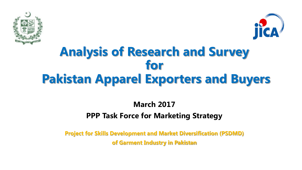



# **Analysis of Research and Survey for Pakistan Apparel Exporters and Buyers**

## **March 2017 PPP Task Force for Marketing Strategy**

**Project for Skills Development and Market Diversification (PSDMD) of Garment Industry in Pakistan**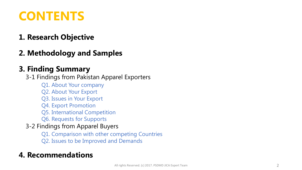# **CONTENTS**

## **1. Research Objective**

**2. Methodology and Samples**

## **3. Finding Summary**

3-1 Findings from Pakistan Apparel Exporters

- Q1. About Your company
- Q2. About Your Export
- Q3. Issues in Your Export
- Q4. Export Promotion
- Q5. International Competition
- Q6. Requests for Supports
- 3-2 Findings from Apparel Buyers
	- Q1. Comparison with other competing Countries
	- Q2. Issues to be Improved and Demands

## **4. Recommendations**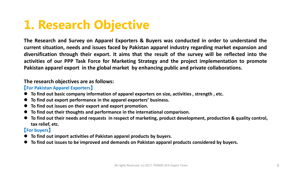# **1. Research Objective**

**The Research and Survey on Apparel Exporters & Buyers was conducted in order to understand the current situation, needs and issues faced by Pakistan apparel industry regarding market expansion and diversification through their export. It aims that the result of the survey will be reflected into the activities of our PPP Task Force for Marketing Strategy and the project implementation to promote Pakistan apparel export in the global market by enhancing public and private collaborations.**

#### **The research objectives are as follows:**

#### 【**For Pakistan Apparel Exporters**】

- **To find out basic company information of apparel exporters on size, activities , strength , etc.**
- **To find out export performance in the apparel exporters' business.**
- **To find out issues on their export and export promotion.**
- **To find out their thoughts and performance in the international comparison.**
- **To find out their needs and requests in respect of marketing, product development, production & quality control, tax relief, etc.**

#### 【**For buyers**】

- **To find out import activities of Pakistan apparel products by buyers.**
- **To find out issues to be improved and demands on Pakistan apparel products considered by buyers.**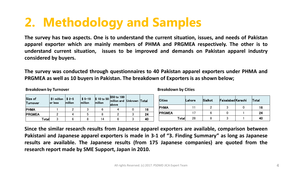# **2. Methodology and Samples**

**The survey has two aspects. One is to understand the current situation, issues, and needs of Pakistan apparel exporter which are mainly members of PHMA and PRGMEA respectively. The other is to understand current situation, issues to be improved and demands on Pakistan apparel industry considered by buyers.**

**The survey was conducted through questionnaires to 40 Pakistan apparel exporters under PHMA and PRGMEA as well as 10 buyers in Pakistan. The breakdown of Exporters is as shown below;**

**Breakdown by Turnover Breakdown by** Cities

| Size of<br>∣Turnover |       | \$1 million<br>or less | $\frac{1}{2}$ \$ 2-5<br>million | $$5 - 10$<br>million | $\frac{1}{2}$ 10 to 50<br>million | \$50 to 100<br>million and<br>labove | Unknown | Total |
|----------------------|-------|------------------------|---------------------------------|----------------------|-----------------------------------|--------------------------------------|---------|-------|
| <b>PHMA</b>          |       |                        | 2                               |                      |                                   |                                      |         | 16    |
| <b>PRGMEA</b>        |       |                        | 4                               | b                    |                                   |                                      | 3       | 24    |
|                      | Total |                        |                                 |                      | 14                                |                                      | ົ       | 40    |

| <b>Cities</b> | Lahore | Sialkot | Faisalabad Karachi | Total |
|---------------|--------|---------|--------------------|-------|
| <b>PHMA</b>   |        |         |                    | 16    |
| <b>PRGMEA</b> |        |         |                    | 24    |
| Total         | 28     |         | 3                  | 40    |

**Since the similar research results from Japanese apparel exporters are available, comparison between Pakistani and Japanese apparel exporters is made in 3-1 of "3. Finding Summary" as long as Japanese results are available. The Japanese results (from 175 Japanese companies) are quoted from the research report made by SME Support, Japan in 2010.**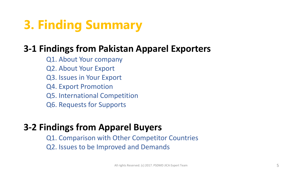

## **3-1 Findings from Pakistan Apparel Exporters**

- Q1. About Your company
- Q2. About Your Export
- Q3. Issues in Your Export
- Q4. Export Promotion
- Q5. International Competition
- Q6. Requests for Supports

## **3-2 Findings from Apparel Buyers**

Q1. Comparison with Other Competitor Countries Q2. Issues to be Improved and Demands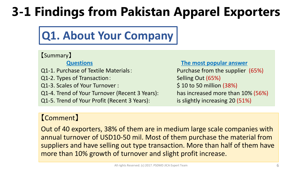# **3-1 Findings from Pakistan Apparel Exporters**

# **Q1. About Your Company**

#### 【Summary】

Q1-1. Purchase of Textile Materials: Purchase from the supplier (65%)

- Q1-2. Types of Transaction: Selling Out (65%)
- Q1-3. Scales of Your Turnover :  $\frac{1}{2}$  \$ 10 to 50 million (38%)
- Q1-4. Trend of Your Turnover (Recent 3 Years): has increased more than 10% (56%)
- Q1-5. Trend of Your Profit (Recent 3 Years): is slightly increasing 20 (51%)

**Questions The most popular answer**

#### 【Comment】

Out of 40 exporters, 38% of them are in medium large scale companies with annual turnover of USD10-50 mil. Most of them purchase the material from suppliers and have selling out type transaction. More than half of them have more than 10% growth of turnover and slight profit increase.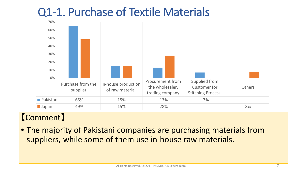# Q1-1. Purchase of Textile Materials



## 【Comment】

• The majority of Pakistani companies are purchasing materials from suppliers, while some of them use in-house raw materials.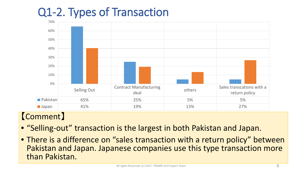# Q1-2. Types of Transaction



- "Selling-out" transaction is the largest in both Pakistan and Japan.
- There is a difference on "sales transaction with a return policy" between Pakistan and Japan. Japanese companies use this type transaction more than Pakistan.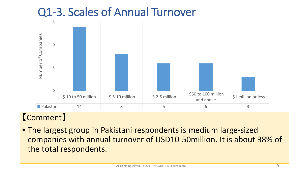# Q1-3. Scales of Annual Turnover



## 【Comment】

• The largest group in Pakistani respondents is medium large-sized companies with annual turnover of USD10-50million. It is about 38% of the total respondents.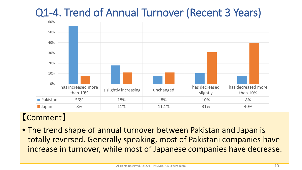# Q1-4. Trend of Annual Turnover (Recent 3 Years)



## 【Comment】

• The trend shape of annual turnover between Pakistan and Japan is totally reversed. Generally speaking, most of Pakistani companies have increase in turnover, while most of Japanese companies have decrease.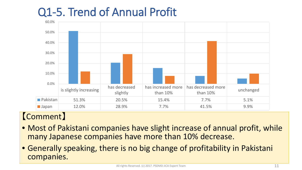# Q1-5. Trend of Annual Profit



- Most of Pakistani companies have slight increase of annual profit, while many Japanese companies have more than 10% decrease.
- Generally speaking, there is no big change of profitability in Pakistani companies.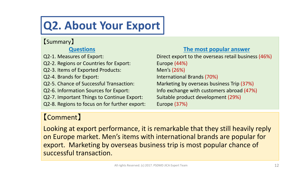# **Q2. About Your Export**

## 【Summary】

Q2-2. Regions or Countries for Export: Europe (44%)

Q2-3. Items of Exported Products: Men's (26%)

Q2-7. Important Things to Continue Export: Suitable product development (29%)

Q2-8. Regions to focus on for further export: Europe (37%)

#### **Questions The most popular answer**

Q2-1. Measures of Export: Direct export to the overseas retail business (46%) Q2-4. Brands for Export: International Brands (70%) Q2-5. Chance of Successful Transaction: Marketing by overseas business Trip (37%) Q2-6. Information Sources for Export: Info exchange with customers abroad (47%)

## 【Comment】

Looking at export performance, it is remarkable that they still heavily reply on Europe market. Men's items with international brands are popular for export. Marketing by overseas business trip is most popular chance of successful transaction.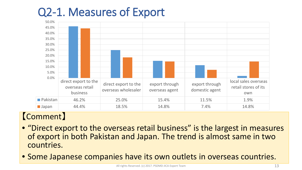# Q2-1. Measures of Export



- "Direct export to the overseas retail business" is the largest in measures of export in both Pakistan and Japan. The trend is almost same in two countries.
- Some Japanese companies have its own outlets in overseas countries.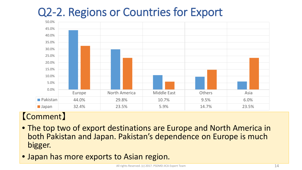# Q2-2. Regions or Countries for Export



- The top two of export destinations are Europe and North America in both Pakistan and Japan. Pakistan's dependence on Europe is much bigger.
- Japan has more exports to Asian region.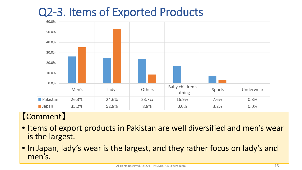# Q2-3. Items of Exported Products



- Items of export products in Pakistan are well diversified and men's wear is the largest.
- In Japan, lady's wear is the largest, and they rather focus on lady's and men's.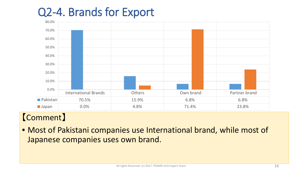# Q2-4. Brands for Export



## 【Comment】

• Most of Pakistani companies use International brand, while most of Japanese companies uses own brand.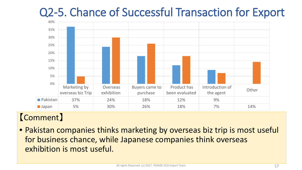# Q2-5. Chance of Successful Transaction for Export



## 【Comment】

• Pakistan companies thinks marketing by overseas biz trip is most useful for business chance, while Japanese companies think overseas exhibition is most useful.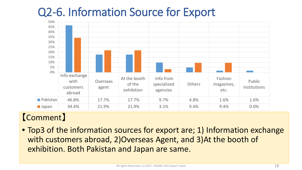# Q2-6. Information Source for Export



## 【Comment】

• Top3 of the information sources for export are; 1) Information exchange with customers abroad, 2)Overseas Agent, and 3)At the booth of exhibition. Both Pakistan and Japan are same.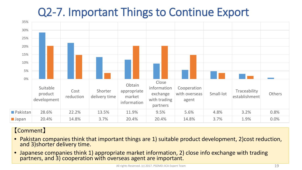# Q2-7. Important Things to Continue Export



- Pakistan companies think that important things are 1) suitable product development, 2)cost reduction, and 3)shorter delivery time.
- Japanese companies think 1) appropriate market information, 2) close info exchange with trading partners, and 3) cooperation with overseas agent are important.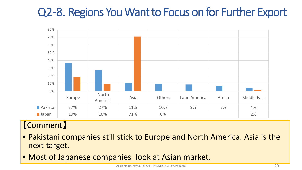# Q2-8. Regions You Want to Focus on for Further Export



- Pakistani companies still stick to Europe and North America. Asia is the next target.
- Most of Japanese companies look at Asian market.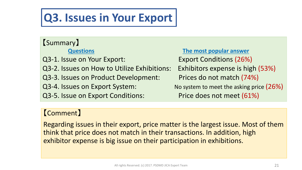# **Q3. Issues in Your Export**

## 【Summary】

Q3-1. Issue on Your Export: Export Conditions (26%) Q3-2. Issues on How to Utilize Exhibitions: Exhibitors expense is high (53%) Q3-3. Issues on Product Development: Prices do not match (74%) Q3-4. Issues on Export System: No system to meet the asking price (26%) Q3-5. Issue on Export Conditions: Price does not meet (61%)

**Questions The most popular answer**

## 【Comment】

Regarding issues in their export, price matter is the largest issue. Most of them think that price does not match in their transactions. In addition, high exhibitor expense is big issue on their participation in exhibitions.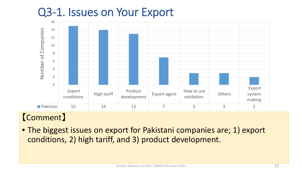# Q3-1. Issues on Your Export



## 【Comment】

• The biggest issues on export for Pakistani companies are; 1) export conditions, 2) high tariff, and 3) product development.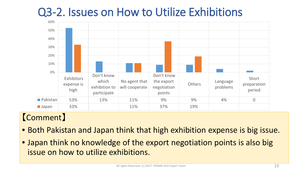# Q3-2. Issues on How to Utilize Exhibitions



- Both Pakistan and Japan think that high exhibition expense is big issue.
- Japan think no knowledge of the export negotiation points is also big issue on how to utilize exhibitions.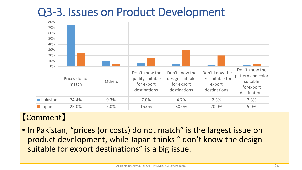# Q3-3. Issues on Product Development



## 【Comment】

• In Pakistan, "prices (or costs) do not match" is the largest issue on product development, while Japan thinks " don't know the design suitable for export destinations" is a big issue.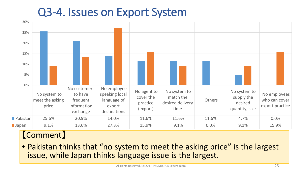# Q3-4. Issues on Export System



## 【Comment】

• Pakistan thinks that "no system to meet the asking price" is the largest issue, while Japan thinks language issue is the largest.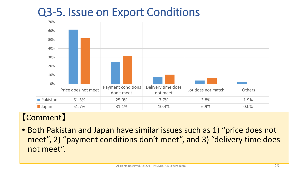# Q3-5. Issue on Export Conditions



## 【Comment】

• Both Pakistan and Japan have similar issues such as 1) "price does not meet", 2) "payment conditions don't meet", and 3) "delivery time does not meet".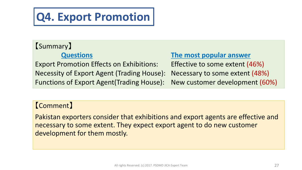# **Q4. Export Promotion**

# 【Summary】

Export Promotion Effects on Exhibitions: Effective to some extent (46%) Necessity of Export Agent (Trading House): Necessary to some extent (48%) Functions of Export Agent(Trading House): New customer development (60%)

#### **Questions The most popular answer**

#### 【Comment】

Pakistan exporters consider that exhibitions and export agents are effective and necessary to some extent. They expect export agent to do new customer development for them mostly.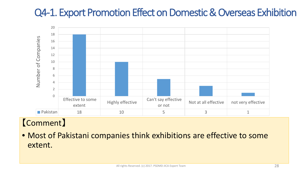# Q4-1. Export Promotion Effect on Domestic & Overseas Exhibition



## 【Comment】

• Most of Pakistani companies think exhibitions are effective to some extent.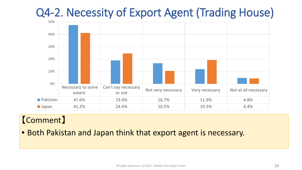# Q4-2. Necessity of Export Agent (Trading House)



## 【Comment】

• Both Pakistan and Japan think that export agent is necessary.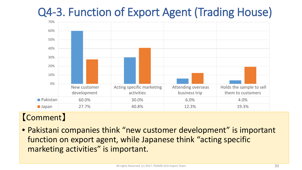# Q4-3. Function of Export Agent (Trading House)



## 【Comment】

• Pakistani companies think "new customer development" is important function on export agent, while Japanese think "acting specific marketing activities" is important.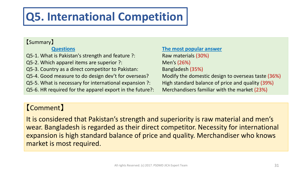# **Q5. International Competition**

#### 【Summary】

Q5-1. What is Pakistan's strength and feature ?: Raw materials (30%) Q5-2. Which apparel items are superior ?: Men's (26%) Q5-3. Country as a direct competitor to Pakistan: Bangladesh (35%) Q5-4. Good measure to do design dev't for overseas? Modify the domestic design to overseas taste (36%) Q5-5. What is necessary for international expansion ?: High standard balance of price and quality (39%) Q5-6. HR required for the apparel export in the future?: Merchandisers familiar with the market (23%)

**Questions The most popular answer**

### 【Comment】

It is considered that Pakistan's strength and superiority is raw material and men's wear. Bangladesh is regarded as their direct competitor. Necessity for international expansion is high standard balance of price and quality. Merchandiser who knows market is most required.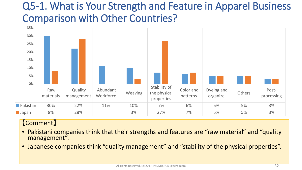# Q5-1. What is Your Strength and Feature in Apparel Business Comparison with Other Countries?



- Pakistani companies think that their strengths and features are "raw material" and "quality management".
- Japanese companies think "quality management" and "stability of the physical properties".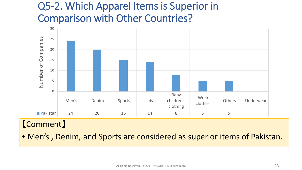# Q5-2. Which Apparel Items is Superior in Comparison with Other Countries?



## 【Comment】

• Men's , Denim, and Sports are considered as superior items of Pakistan.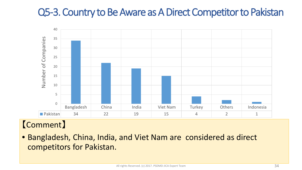# Q5-3. Country to Be Aware as A Direct Competitor to Pakistan



## 【Comment】

• Bangladesh, China, India, and Viet Nam are considered as direct competitors for Pakistan.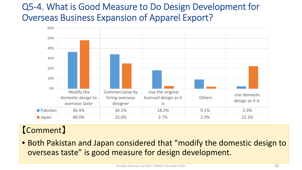## Q5-4. What is Good Measure to Do Design Development for Overseas Business Expansion of Apparel Export?



## 【Comment】

• Both Pakistan and Japan considered that "modify the domestic design to overseas taste" is good measure for design development.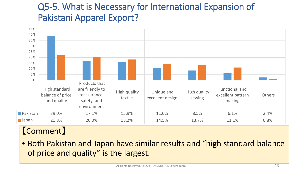## Q5-5. What is Necessary for International Expansion of Pakistani Apparel Export?



## 【Comment】

• Both Pakistan and Japan have similar results and "high standard balance of price and quality" is the largest.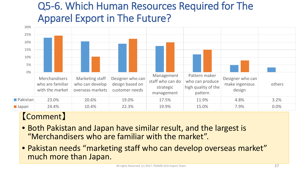# Q5-6. Which Human Resources Required for The Apparel Export in The Future?



- Both Pakistan and Japan have similar result, and the largest is "Merchandisers who are familiar with the market".
- Pakistan needs "marketing staff who can develop overseas market" much more than Japan.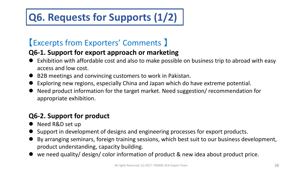# **Q6. Requests for Supports (1/2)**

## 【Excerpts from Exporters' Comments 】

#### **Q6-1. Support for export approach or marketing**

- Exhibition with affordable cost and also to make possible on business trip to abroad with easy access and low cost.
- B2B meetings and convincing customers to work in Pakistan.
- Exploring new regions, especially China and Japan which do have extreme potential.
- Need product information for the target market. Need suggestion/ recommendation for appropriate exhibition.

### **Q6-2. Support for product**

- Need R&D set up
- Support in development of designs and engineering processes for export products.
- By arranging seminars, foreign training sessions, which best suit to our business development, product understanding, capacity building.
- we need quality/ design/ color information of product & new idea about product price.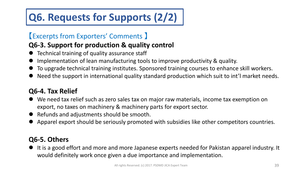# **Q6. Requests for Supports (2/2)**

## 【Excerpts from Exporters' Comments 】

### **Q6-3. Support for production & quality control**

- Technical training of quality assurance staff
- Implementation of lean manufacturing tools to improve productivity & quality.
- To upgrade technical training institutes. Sponsored training courses to enhance skill workers.
- Need the support in international quality standard production which suit to int'l market needs.

#### **Q6-4. Tax Relief**

- We need tax relief such as zero sales tax on major raw materials, income tax exemption on export, no taxes on machinery & machinery parts for export sector.
- Refunds and adjustments should be smooth.
- Apparel export should be seriously promoted with subsidies like other competitors countries.

#### **Q6-5. Others**

 It is a good effort and more and more Japanese experts needed for Pakistan apparel industry. It would definitely work once given a due importance and implementation.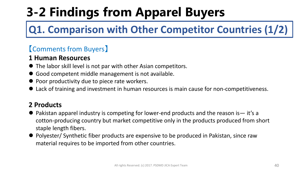# **3-2 Findings from Apparel Buyers**

# **Q1. Comparison with Other Competitor Countries (1/2)**

## 【Comments from Buyers】

#### **1 Human Resources**

- The labor skill level is not par with other Asian competitors.
- Good competent middle management is not available.
- Poor productivity due to piece rate workers.
- Lack of training and investment in human resources is main cause for non-competitiveness.

#### **2 Products**

- Pakistan apparel industry is competing for lower-end products and the reason is it's a cotton-producing country but market competitive only in the products produced from short staple length fibers.
- Polyester/ Synthetic fiber products are expensive to be produced in Pakistan, since raw material requires to be imported from other countries.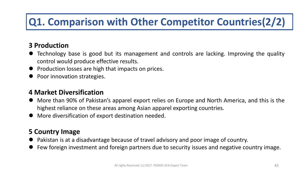# **Q1. Comparison with Other Competitor Countries(2/2)**

#### **3 Production**

- Technology base is good but its management and controls are lacking. Improving the quality control would produce effective results.
- Production losses are high that impacts on prices.
- Poor innovation strategies.

#### **4 Market Diversification**

- More than 90% of Pakistan's apparel export relies on Europe and North America, and this is the highest reliance on these areas among Asian apparel exporting countries.
- More diversification of export destination needed.

#### **5 Country Image**

- Pakistan is at a disadvantage because of travel advisory and poor image of country.
- Few foreign investment and foreign partners due to security issues and negative country image.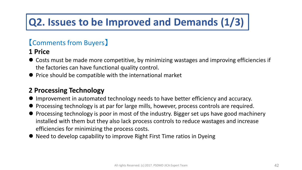# **Q2. Issues to be Improved and Demands (1/3)**

### 【Comments from Buyers】

#### **1 Price**

- Costs must be made more competitive, by minimizing wastages and improving efficiencies if the factories can have functional quality control.
- Price should be compatible with the international market

#### **2 Processing Technology**

- Improvement in automated technology needs to have better efficiency and accuracy.
- Processing technology is at par for large mills, however, process controls are required.
- Processing technology is poor in most of the industry. Bigger set ups have good machinery installed with them but they also lack process controls to reduce wastages and increase efficiencies for minimizing the process costs.
- Need to develop capability to improve Right First Time ratios in Dyeing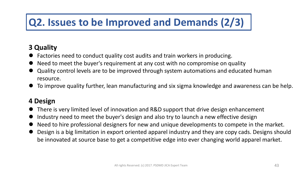# **Q2. Issues to be Improved and Demands (2/3)**

#### **3 Quality**

- Factories need to conduct quality cost audits and train workers in producing.
- Need to meet the buyer's requirement at any cost with no compromise on quality
- Quality control levels are to be improved through system automations and educated human resource.
- To improve quality further, lean manufacturing and six sigma knowledge and awareness can be help.

#### **4 Design**

- There is very limited level of innovation and R&D support that drive design enhancement
- Industry need to meet the buyer's design and also try to launch a new effective design
- Need to hire professional designers for new and unique developments to compete in the market.
- Design is a big limitation in export oriented apparel industry and they are copy cads. Designs should be innovated at source base to get a competitive edge into ever changing world apparel market.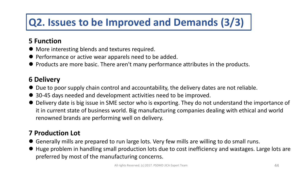# **Q2. Issues to be Improved and Demands (3/3)**

#### **5 Function**

- More interesting blends and textures required.
- Performance or active wear apparels need to be added.
- Products are more basic. There aren't many performance attributes in the products.

#### **6 Delivery**

- Due to poor supply chain control and accountability, the delivery dates are not reliable.
- 30-45 days needed and development activities need to be improved.
- Delivery date is big issue in SME sector who is exporting. They do not understand the importance of it in current state of business world. Big manufacturing companies dealing with ethical and world renowned brands are performing well on delivery.

#### **7 Production Lot**

- Generally mills are prepared to run large lots. Very few mills are willing to do small runs.
- Huge problem in handling small production lots due to cost inefficiency and wastages. Large lots are preferred by most of the manufacturing concerns.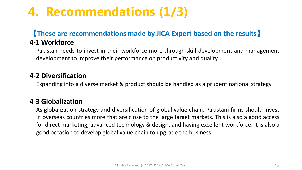# **4. Recommendations (1/3)**

## 【**These are recommendations made by JICA Expert based on the results**】

#### **4-1 Workforce**

Pakistan needs to invest in their workforce more through skill development and management development to improve their performance on productivity and quality.

#### **4-2 Diversification**

Expanding into a diverse market & product should be handled as a prudent national strategy.

#### **4-3 Globalization**

As globalization strategy and diversification of global value chain, Pakistani firms should invest in overseas countries more that are close to the large target markets. This is also a good access for direct marketing, advanced technology & design, and having excellent workforce. It is also a good occasion to develop global value chain to upgrade the business.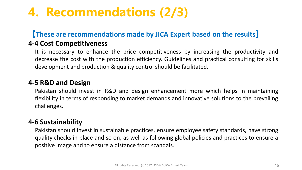# **4. Recommendations (2/3)**

## 【**These are recommendations made by JICA Expert based on the results**】

#### **4-4 Cost Competitiveness**

It is necessary to enhance the price competitiveness by increasing the productivity and decrease the cost with the production efficiency. Guidelines and practical consulting for skills development and production & quality control should be facilitated.

#### **4-5 R&D and Design**

Pakistan should invest in R&D and design enhancement more which helps in maintaining flexibility in terms of responding to market demands and innovative solutions to the prevailing challenges.

#### **4-6 Sustainability**

Pakistan should invest in sustainable practices, ensure employee safety standards, have strong quality checks in place and so on, as well as following global policies and practices to ensure a positive image and to ensure a distance from scandals.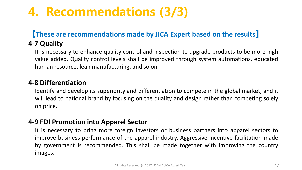# **4. Recommendations (3/3)**

#### 【**These are recommendations made by JICA Expert based on the results**】 **4-7 Quality**

It is necessary to enhance quality control and inspection to upgrade products to be more high value added. Quality control levels shall be improved through system automations, educated human resource, lean manufacturing, and so on.

#### **4-8 Differentiation**

Identify and develop its superiority and differentiation to compete in the global market, and it will lead to national brand by focusing on the quality and design rather than competing solely on price.

#### **4-9 FDI Promotion into Apparel Sector**

It is necessary to bring more foreign investors or business partners into apparel sectors to improve business performance of the apparel industry. Aggressive incentive facilitation made by government is recommended. This shall be made together with improving the country images.